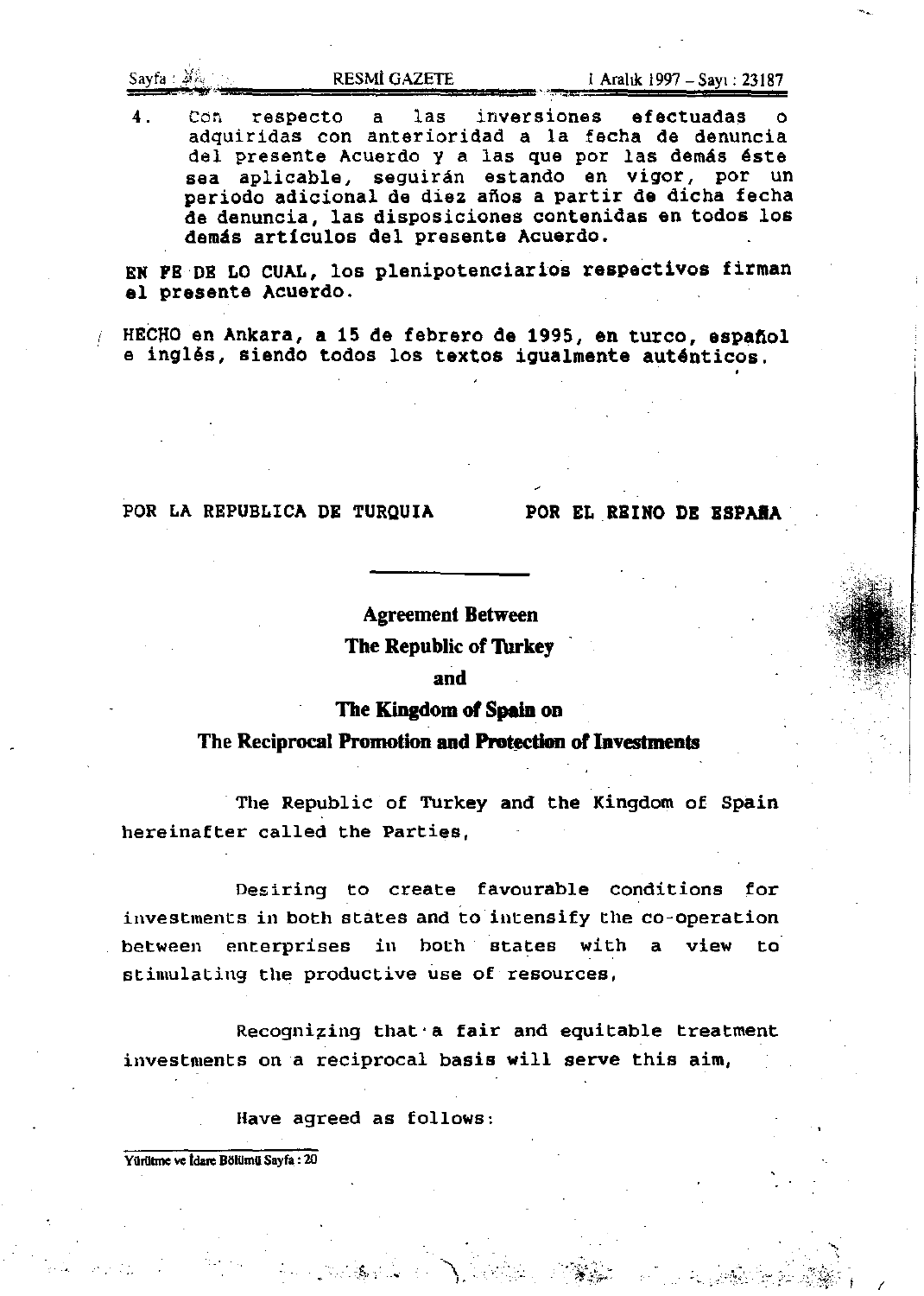Sayfa )~~ ,.." ......... ""' ..... R,;;E;;;S,;",;;!i,;G;;;A,;;Z;;;E;;,TE;;;;, ... \_ ... m •• """ I Arahk 1997 - SaYI : 23187

4. Con respecto a las inversiones efectuadas adquiridas con anterioridad a la fecha de denuncia del presente Acuerdo y a las que por las demás éste sea aplicable, seguirán estando en vigor, por un periodo adicional de diez afios a partir de dicha fecha de denuncia, las disposiciones contenidas en todos los demás artículos del presente Acuerdo.

EN FE DE LO CUAL, los plenipotenciarios respectivos firman 81 presente Acuerdo.

HECNO en Ankara, a 15 de febrero de 1995, en turco, espafiol e inglés, siendo todos los textos igualmente auténticos.

# POR LA REPUBLICA DE TURQUIA POR EL REINO DE ESPAÑA

"-,

 $\approx$   $\mathbb{R}$   $\mathbb{R}$  if  $\rightarrow$   $\rightarrow$ 

Agreement Between

The Republic of Turkey

# and

The Kingdom of Spain on

The Reciprocal Promotion and Protection of Investments

The Republic of Turkey and the Kingdom of Spain hereinafter called the Parties,

Desiring to create favourable conditions for investments in both states and to intensify the co-operation between enterprises in both states with a view to stimulating the productive use of resources,

Recognizing that a fair and equitable treatment investments on a reciprocal basis will serve this aim,

Have agreed as follows:

Yürütme ve İdare Bölümü Sayfa : 20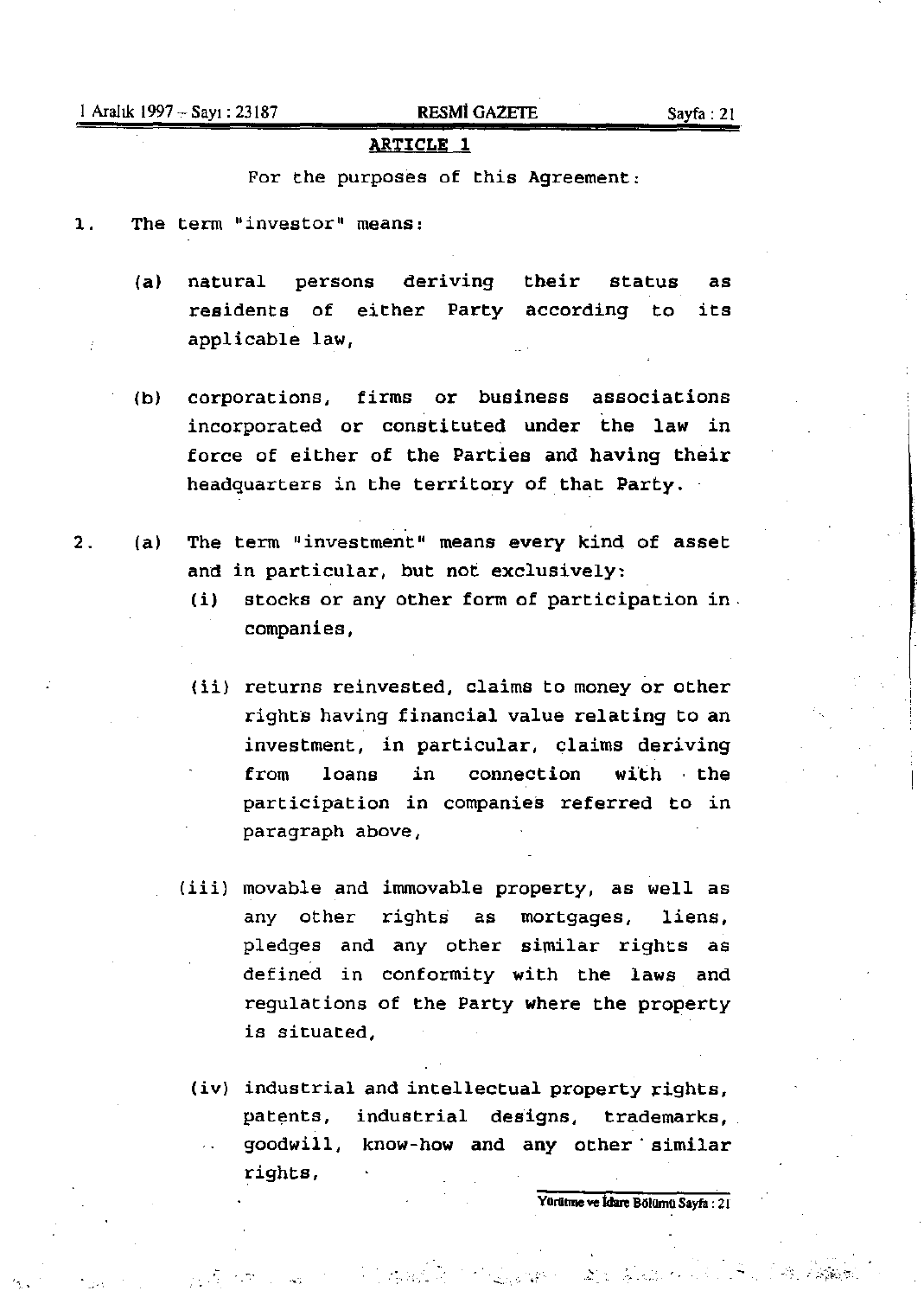# 1 Aralık 1997 - Sayı: 23187 **RESMİ GAZETE** Sayfa: 21

# **ARTICLE** 1

For the purposes of this Agreement:

1. The term "investor" means:

- (a) natural persons deriving their residents of either Party according to applicable law, status as its
- (b) corporations, firms or business associations incorporated or constituted under the law in force of either of the Parties and having their headquarters in the territory of that Party.
- 2. (a) The term "investment" means every kind of asset and in particular, but not exclusively:
	- (i) stocks or any other form of participation in. companies,
	- (ii) returns reinvested, claims to money or other rights having financial value relating to an investment, in particular, claims deriving from loans in connection with the participation in companies referred to in paragraph above,
	- (iii) movable and immovable property, as well as any other rights as mortgages, liens, pledges and any other similar rights as defined in conformity with the laws and regulations of the Party where the property is situated,
		- (iv) industrial and intellectual property rights, patents, industrial designs, trademarks, goodwill, know-how and any other' similar rights,

-.-, ,.

Yürütme ve İdare Bölümü Sayfa: 21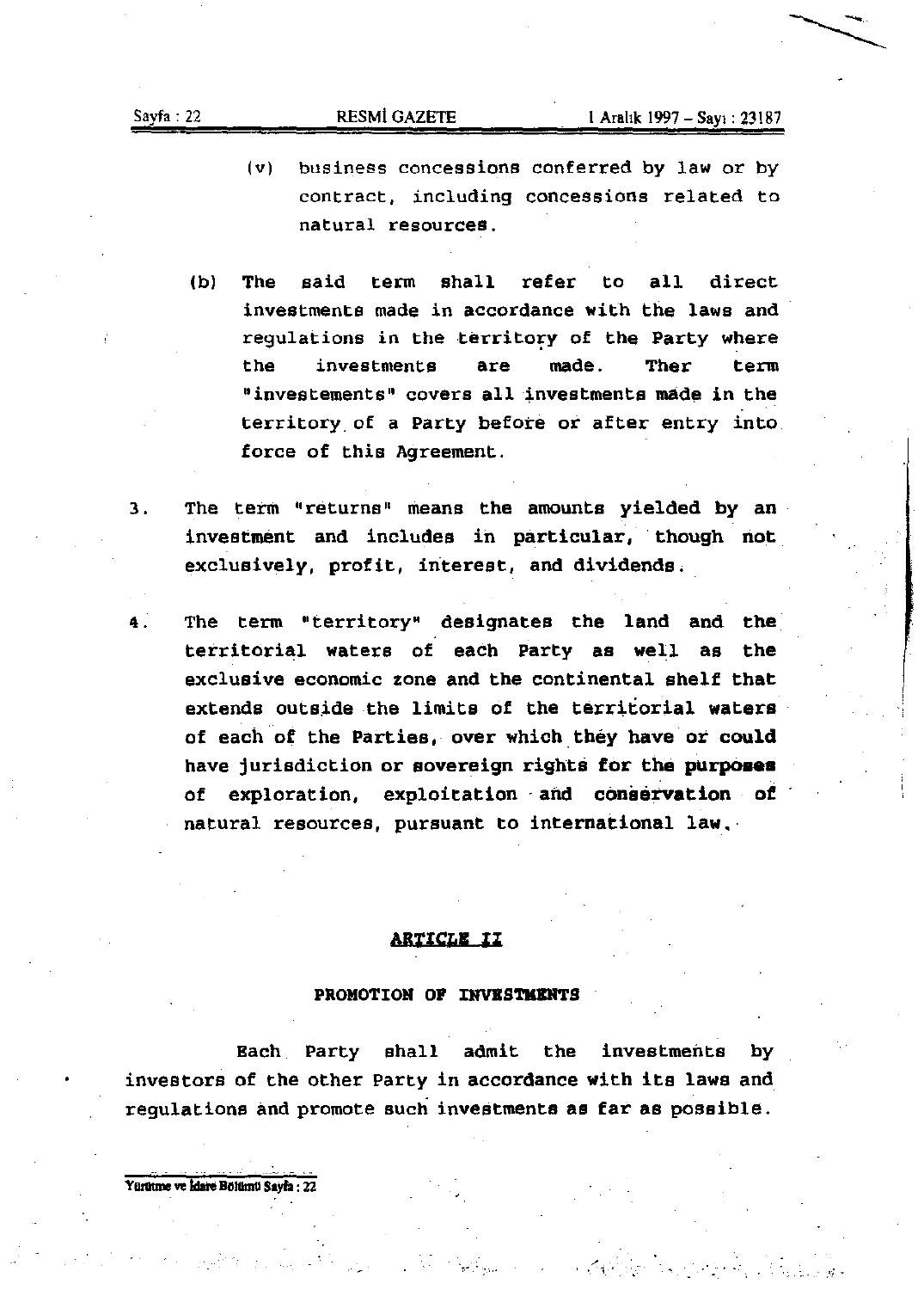- **(v) business concessions conferred by law or by contract, including concessions related to natural resources.**
- (b) The said term shall refer to all direct **investments made in accordance with the laws and**  regulations in the territory of the Party where **the investments are made. Ther term**   $"$  **investements**" covers all investments made in the **territory. of a party before or after entry into force of this Agreement.**
- 3. The term "returns" means the amounts yielded by an investment and includes in particular, though not **exclusively, profit, interest, and dividends.**
- 4. The term "territory" designates the land and the territorial waters of each party as well as the **exclusive economic zone and the continental shelf that**  extends outside the limits of the territorial waters of each of the Parties, over which they have or could have jurisdiction or sovereign rights for the purposes of exploration, exploitation and conservation of natural resources, pursuant to international law,

# **ARTICLE II**

### PROMOTION OF INVESTMENTS

Bach Party shall admit the investments by investors of the other Party in accordance with its laws and **regulations and promote such investments as far as possible.** 

 $\sim$  1  $\sim$ 

Yürütme ve İdare Bölümü Sayfa: 22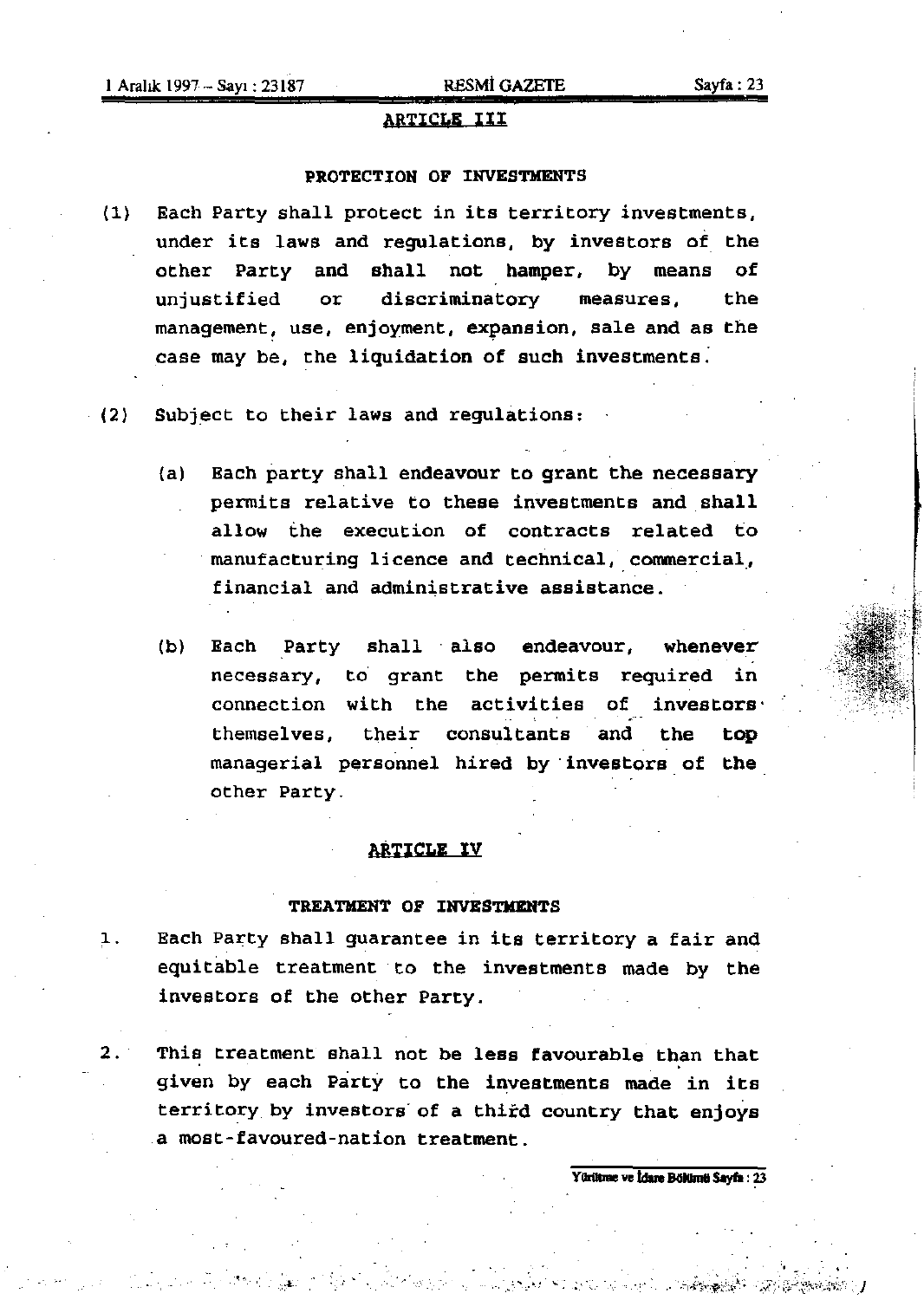# ARTICLE III

# PROTECTION OF INVESTMENTS

(l) Bach Party shall protect in its territory investments, under its laws and regulations, by investors of the other Party and shall not hamper, by means of unjustified or discriminatory measures. the management, use, enjoyment, expansion, sale and as the case may be, the liquidation of such investments:

(2) Subject to their laws and regulations:

- (a) Each party shall endeavour to grant the necessary permits relative to these investments and shall allow the execution of contracts related to manufacturing licence and technical, commercial, financial and administrative assistance.
- (b) Each Party shall also endeavour, whenever necessary, to grant the permits required in connection with the activities of investors' themselves, their consultants and the top managerial personnel hired by investors of the other Party.

## ARTICLE IV

### TREATMENT OF INVESTMENTS

- 1. Each Party shall guarantee in its territory a fair and equitable treatment to the investments made by the investors of the other Party.
- 2. This treatment shall not be less favourable than that given by each Party to the investments made in its territory by investors of a third country that enjoys a most-favoured-nation treatment.

Yürütme ve İdare Bölümü Savfa: 23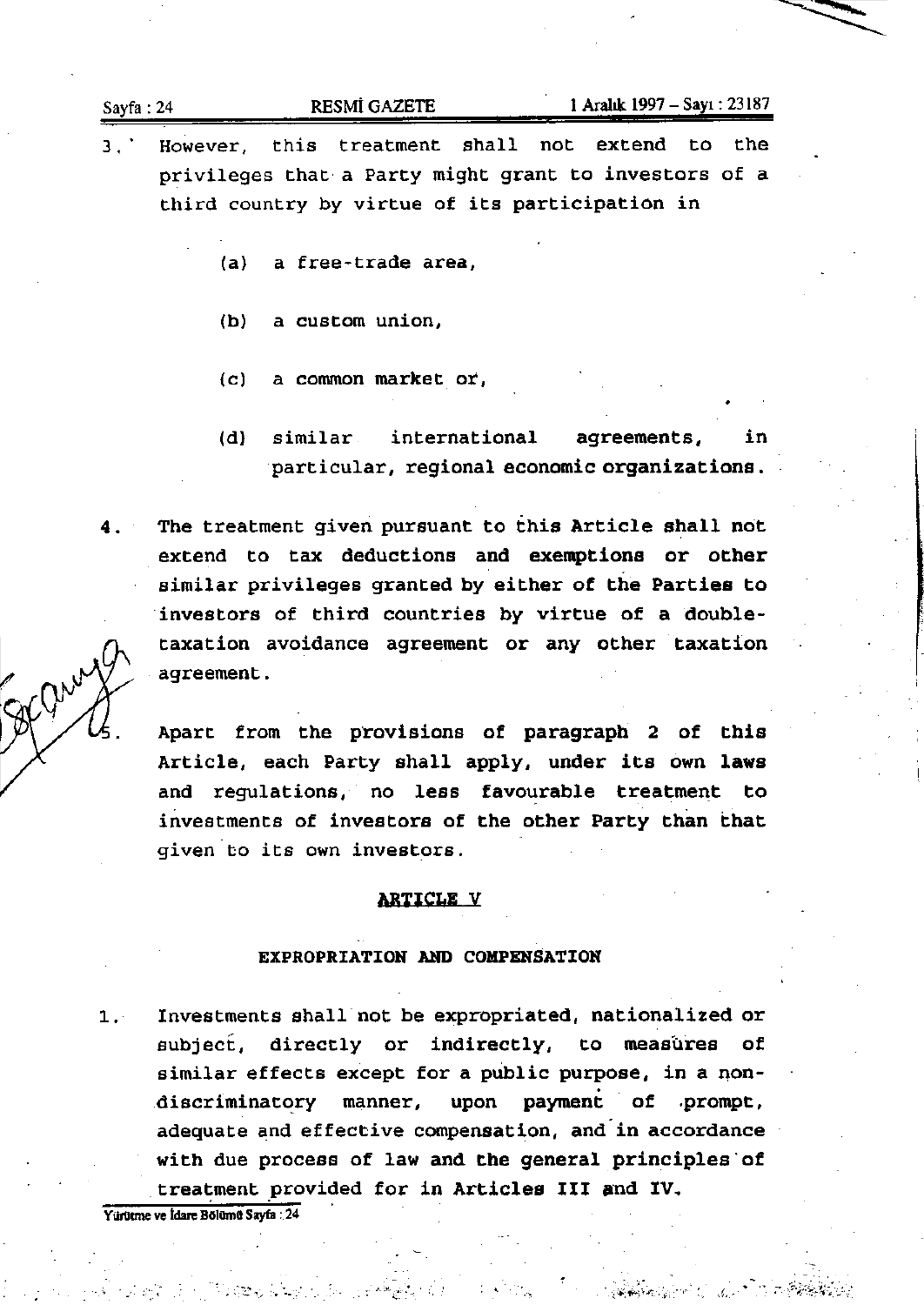| Sayfa:24 | <b>RESMI GAZETE</b> | l Aralık 1997 – Sayı : 23187 |
|----------|---------------------|------------------------------|
|          |                     | -------                      |

- 3.' **However, this treatment shall not extend to the privileges that a Party might grant to investors of a third country by virtue of its participation in** 
	- **(a) a free-trade area,**
	- **(b) a custom union,**
	- **Ce) a common market or,**
	- (d) similar **international agreements,** in **particular, regional economic organizations.**
- 4. The treatment given pursuant to this Article shall not **extend to tax deductions and exemptions or other similar privileges granted by either of the Parties to**  investors of third countries by virtue of a double**taxation avoidance agreement or any other taxation agreement.**

Apart from the provisions of paragraph 2 of this Article, each Party shall apply, under its own laws **and regulations, no less favourable treatment to investments of investors of the other Party than that given to its own investors.** 

# ARTICLE V

## EXPROPRIATION AND COMPENSATION

**1. Investments shall not be expropriated, nationalized or subjecf, directly or indirectly, to measures of**  similar effects except for a public purpose, in a non-<br>discriminatory manner, upon payment of prompt, manner, upon payment of .prompt, **adequate and effective compensation, and-in accordance**  with due process of law and the general principles'of treatment provided for in Articles III and IV.

. . '\_.'. ,.' , .

**YiIrlItme ve Idarc BGlomo Sayfa: 24**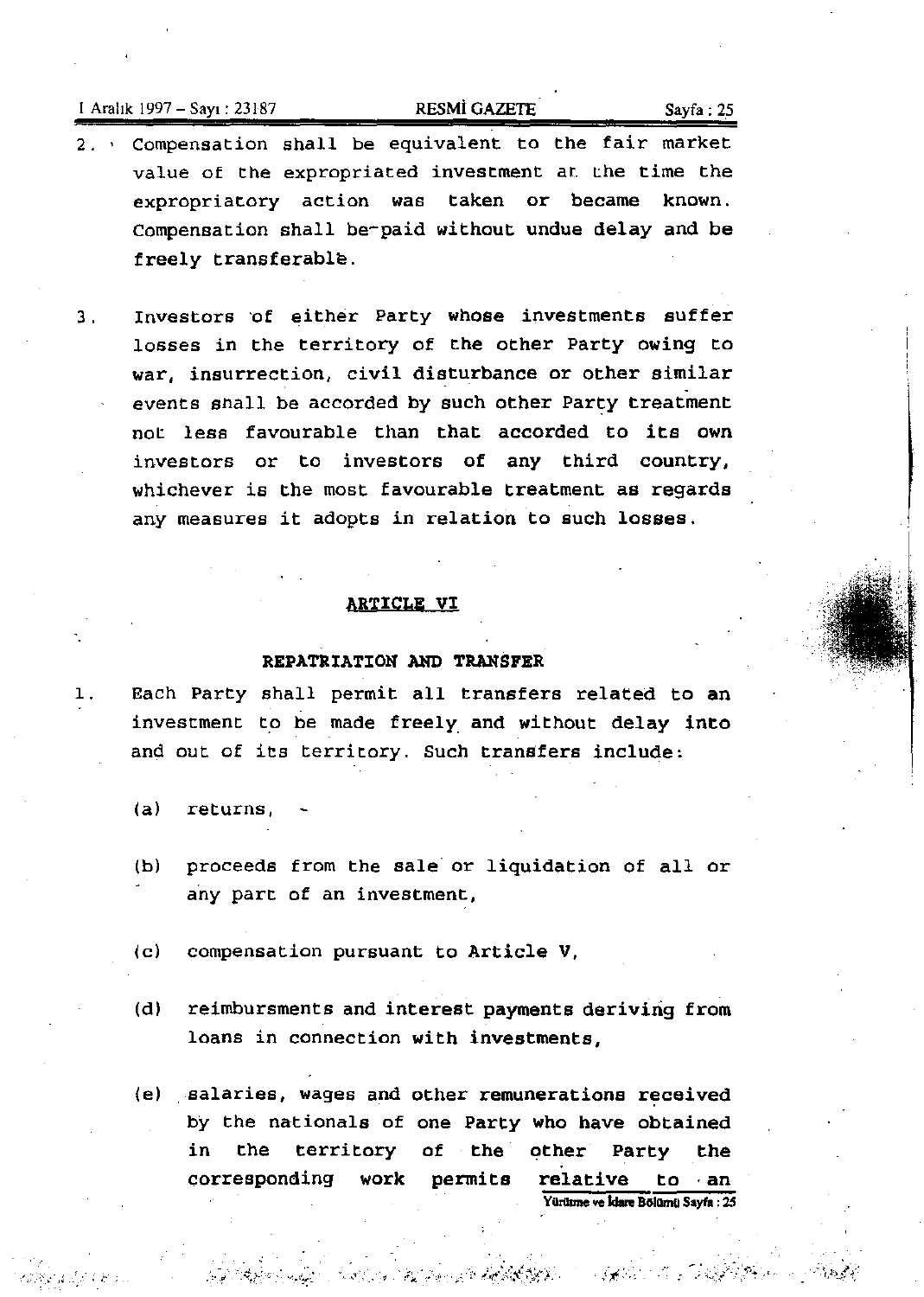# 1 Aralık 1997 – Sayı : 23187 **RESMÌ GAZETE** Sayfa : 25

- 2. ' Compensation shall be equivalent to the fair market value of the expropriated investment at. the time the expropriatory action was taken or became known. Compensation shall be-paid without undue delay and be freely transferable.
- 3. Investors 'of either Party whose investments suffer losses in the territory of the other Party owing to war, insurrection, civil disturbance or other similar events shall be accorded by such other Party treatment not less favourable than that accorded to its own investors or to investors of any third country, whichever is the most favourable treatment as regards any measures it adopts in relation to Buch losses.

## ARTICLE VI

# REPATRIATION AND TRANSFER

- 1. Each Party shall permit all transfers related to an investment to be made freely. and without delay into and out of its territory. Such transfers include:
	- $(a)$  returns,

',<br>Yengi 2 ji 1 km

- (b) proceeds from the sale" or liquidation of all or any part of an investment,
- (c) compensation pursuant to Article V,
- (d) reimbursments and interest payments deriving from loans in connection with investments,
- (e) salaries, wages and other remunerations received by the nationals of one Party who have obtained in the territory of the other Party the corresponding work permits relative to an Yürütme ve İdare Bölümü Sayfa : 25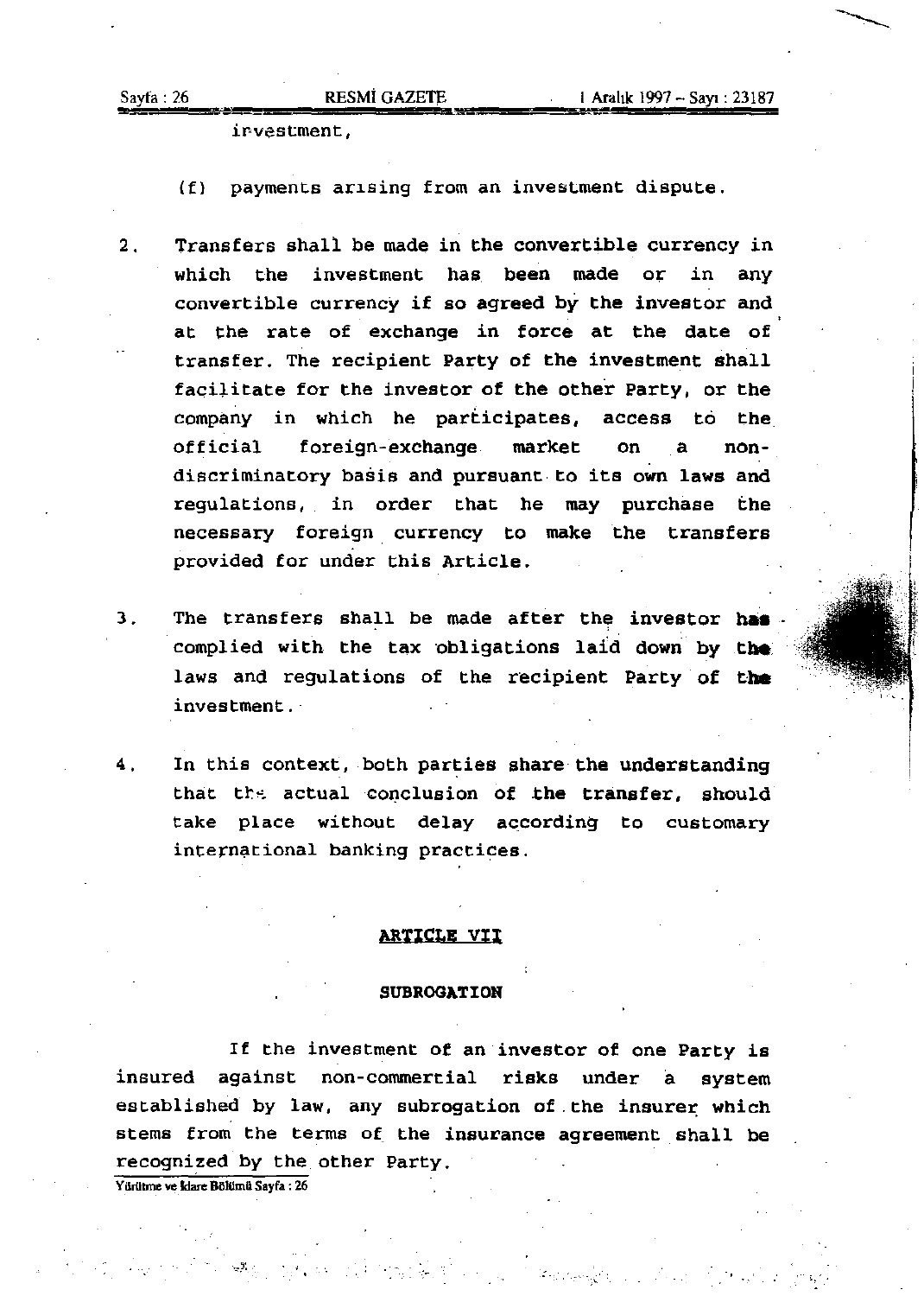ir-vestment,

(f) payments arlsing from an investment dispute.

- 2. Transfers shall be made in the convertible currency in which the investment has been made or in any convertible currency if so agreed by the investor and at Che rate of exchange in force at the date of transfer. The recipient Party of the investment shall facilitate for the investor of the other Party, or the company in which he participates, access to the Official foreign-exchange market on a nondiscriminatory basis and pursuant to its own laws and regulations, in order that he may purchase the necessary foreign currency to make the transfers provided for under this Article.
- 3. The transfers shall be made after the investor has complied with the tax obligations laid down by the. laws and regulations of the recipient Party of the investment.
- 4. In this context, both parties share the understanding that the actual conclusion of the transfer, should take place without delay according to customary international banking practices.

### ARTICLE VII

### SUBROGATION

If the investment of an investor of one Party is insured against non-commertial risks under a system established by law, any subrogation of the insurer which stems from the terms of the insurance agreement shall be recognized by the other Party.

Yürütme ve İdare Bölümü Sayfa : 26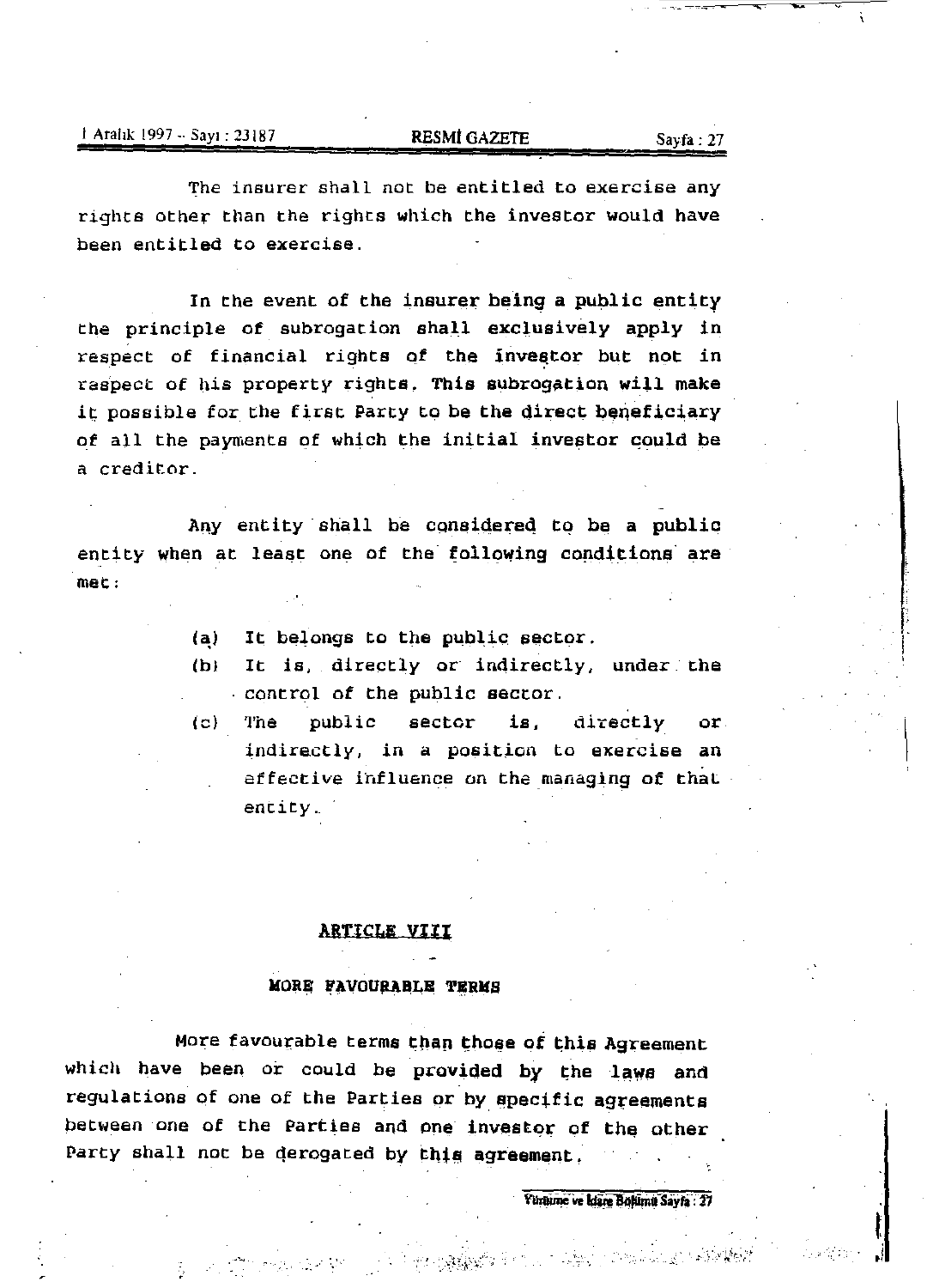The insurer shall not be entitled to exercise any rights other than the rights which the investor would have been entitled to exercise.

In the event of the insurer being a public entity the principle of subrogation shall exclusively apply in respect of financial rights of the investor but not in raspect of his property rights. This subrogation will make it possible for the first Party to be the direct beneficiary of all the payments of which the initial investor could be a creditor.

Any entity shall be considered to be a public entity when at least one of the following conditions' are met:

(a) It belongs to the public sector.

- (bl It is, directly or indirectly, under the control of the public sector.
- (e) The public sector is, directly or indirectly, in a position to exercise an effective influence on the managing of that entity.\_

# ARTICLE VIII

### MORE FAVOURABLE TERMS

More favourable terms than those of this Agreement which have been or could be provided by the laws and regulations of one of the Parties or by specific agreements between one of the Parties and one investor of the other Party shall not be derogated by this agreement.

.. ,.. • L',

Värturne ve Idare Bölümü Sayfa : 27

I .i

L i

 $\frac{1}{2}$ .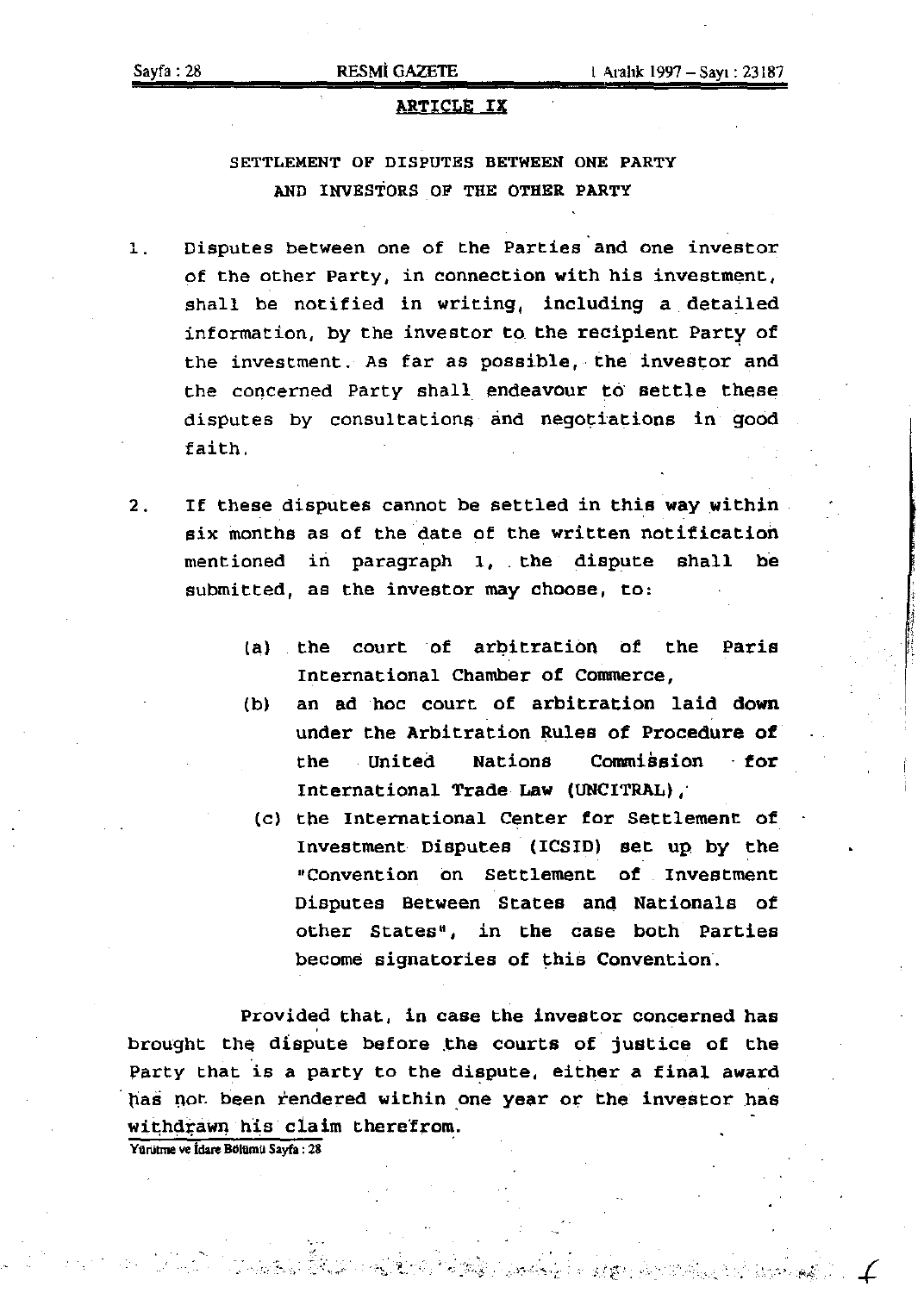# ARTICLE IX

# SETTLEMENT OF DISPUTES BETWEEN ONE PARTY AND INVESTORS OF THE OTHER PARTY

- , .. Disputes between one of the Parties and one investor of the other Party, in connection with his investment, shall be notified in writing, including a detailed information, by the investor to the recipient Party of the investment. As far as possible, the investor and the concerned Party shall. endeavour to' settle these disputes by consultations and negotiations in good faith.
- 2. If these disputes cannot be settled in this way within six months as of the date of the written notification mentioned in paragraph 1, the dispute shall be submitted, as the investor may choose, to:
	- (a) the court of arbitration of the Paris International Chamber of Commerce,
	- (b) an ad hoc court of arbitration laid down under the Arbitration Rules of Procedure of the United Nations Commission for International Trade Law (UNCITRAL),
		- (c) the International Center for Settlement of Investment Disputes (ICSID) set up by the "Convention on Settlement of Investment Disputes Between States and Nationals of other States", in the case both Parties become signatories of this Convention.

Provided that, in case the investor concerned has brought the dispute before the courts of justice of the Party that is a party to the dispute, either a final award has not been rendered within one year or the investor has withdrawn his claim therefrom.

.. . .. ;., {..'

Yürütme ve İdare Bölümü Sayfa: 28

... ,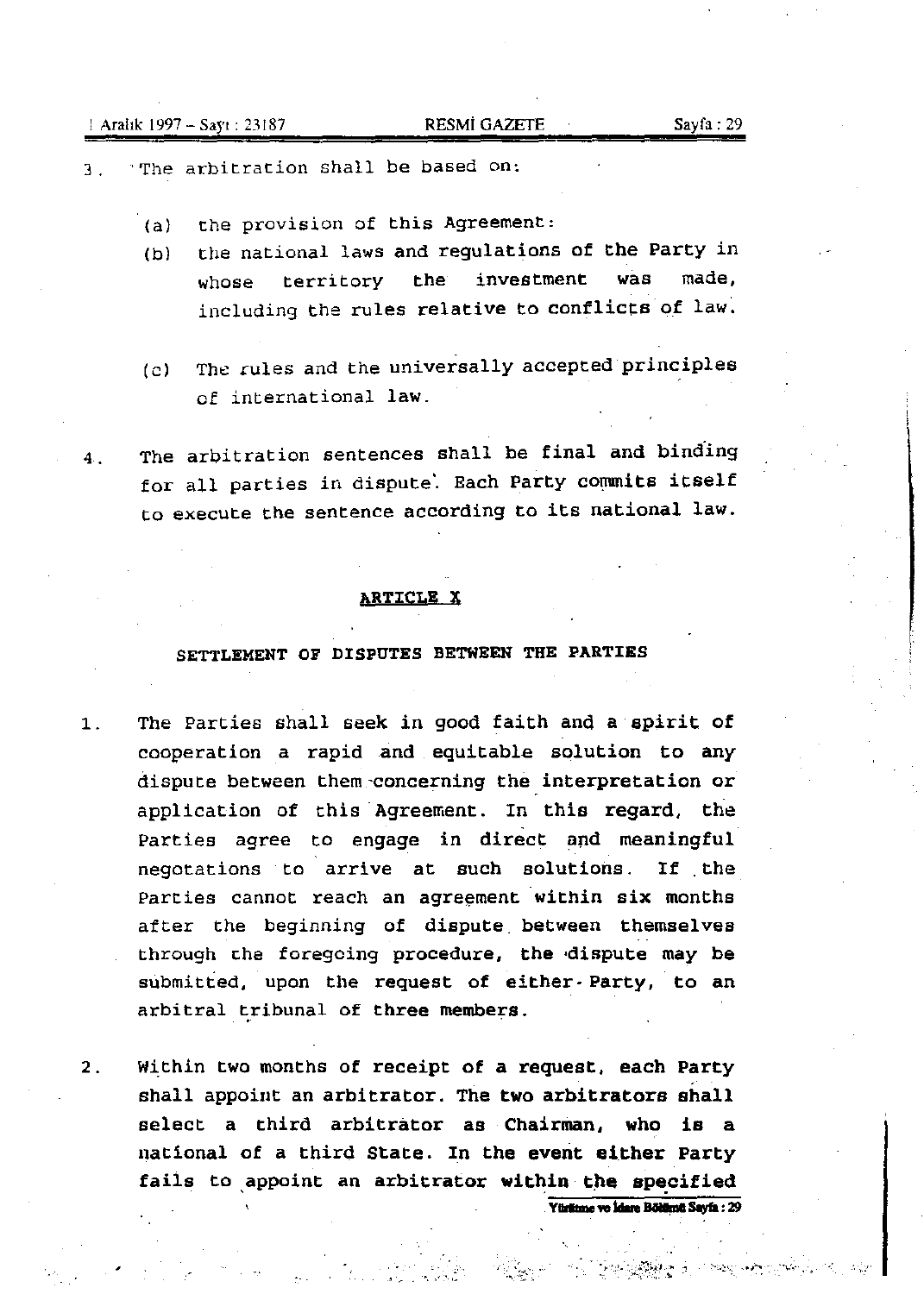- 3. 'The arbitration shall be based on:
	- (a) the provision of this Agreement:
	- (b) the national laws and regulations of the Party in whose territory the investment was made, including the rules relative to conflicts of law.
	- (c) The cules and the universally accepted principles of international law.
- 4. The arbitration sentences shall be final and bind'ing for all parties in dispute. Each Party commits itself to execute the sentence according to its national law.

## ARTICLE X

# SETTLEMENT OF DISPUTES BETWEEN THE PARTIES

- 1. The Parties shall seek in good faith and a spirit of cooperation a rapid and equitable solution to any dispute between them-concerning the interpretation or application of this Agreement. In this regard, the Parties agree to engage in direct and meaningful negotations to arrive at such solutions. If the Parties cannot reach an agreement within six months after the beginning of dispute. between themselves through the foregoing procedure, the dispute may be submitted, upon the request of either· Party, to an arbitral tribunal of three members.
- 2. Within two months of receipt of a request, each Party shall appoint an arbitrator. The two arbitrators shall select a third arbitrator as Chairman, who is a national of a third State. In the event either Party fails to appoint an arbitrator within the specified **Yürlitme ve İdare Bölümü Sayfa: 29**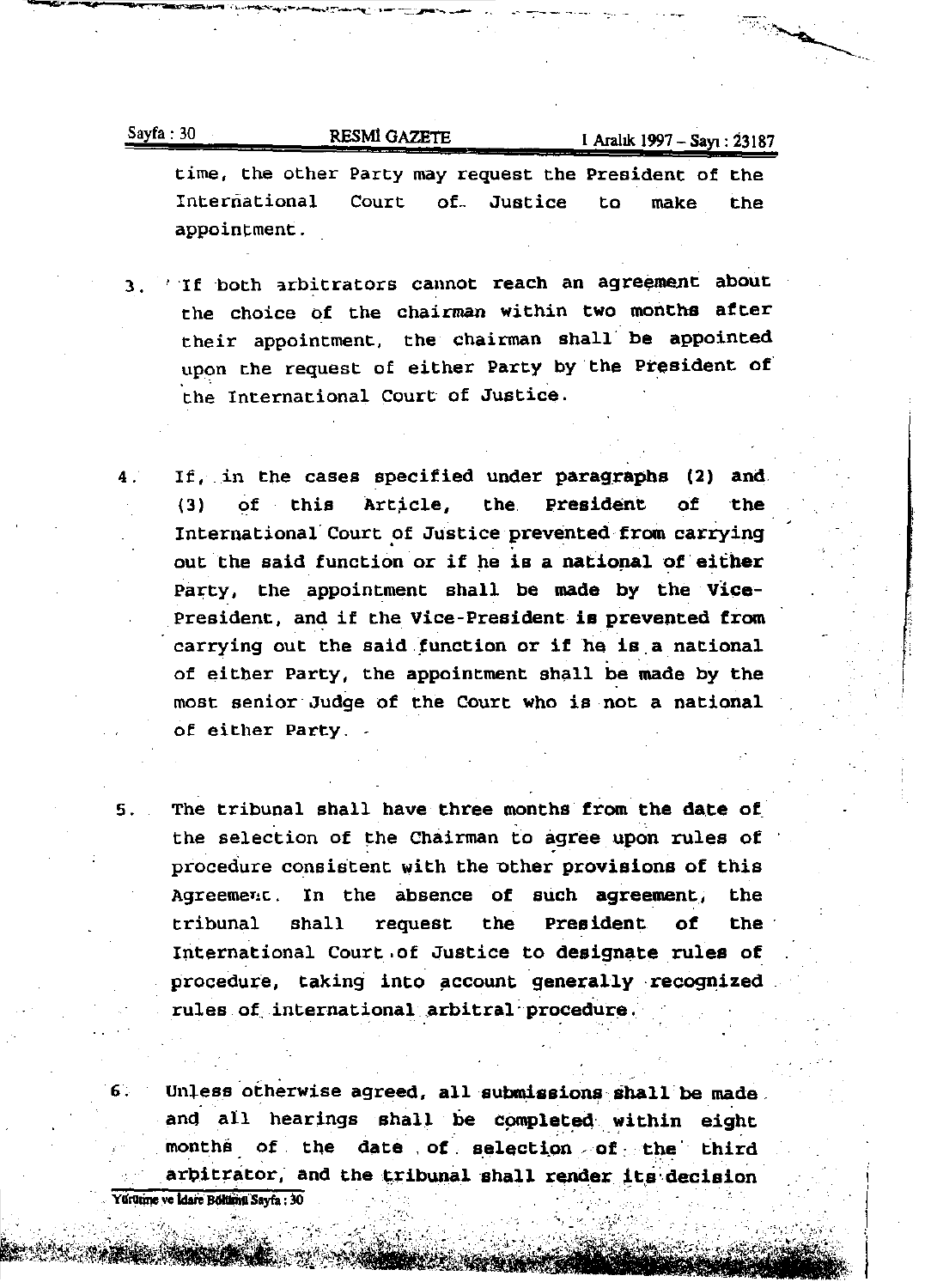| Sayfa: |    |
|--------|----|
|        | 30 |
|        |    |

RESMI GAZETE 1 Aralık 1997 - Sayı : 23187

" '.'

I

 $\mathbf{1}$ 

**time, the other Party may request the President of the International Court** of., **Justice to make the appoint:ment.** 

- 3. 'If both arbitrators cannot reach an agreement about **the choice of the chairman within two months atter their appointment, the chairman shall' be appointed**  upon the request of either Party by the president of the International Court of Justice.
- 4. If, in the cases specified under paragraphs (2) and (3) of this Article, the President of the International Court of Justice prevented from carrying If, in the cases specified under paragraphs (2) and<br>(3) of this Article, the President of the<br>International Court of Justice prevented from carrying<br>out the said function or if he is a national of either<br>Party, the appoint Party, the appointment shall be made by the Vice-President, and if the Vice-President is prevented from carrying out the said function or if he is a national of either Party, the appointment shall be made by the most senior Judge of the Court who is not a national **of either Party.** -
- 5. The tribunal shall have three months from the date of the selection of the Chairman to agree upon rules of procedure consistent with the other provisions of this **Agreemer!c . In the absence of such agreement., the**  tribunal shall request the President of the International Court ,of Justice to designate rules of procedure, taking into account generally recognized rules of international arbitral procedure.

6. Unless otherwise agreed, all submissions shall be made. and all hearings shall be completed within eight months of the date of selection of the third  $\frac{1}{\sqrt{2}}$  and the tribunal shall render its decision Yürütme ve İdare Bölümü Sayfa : 30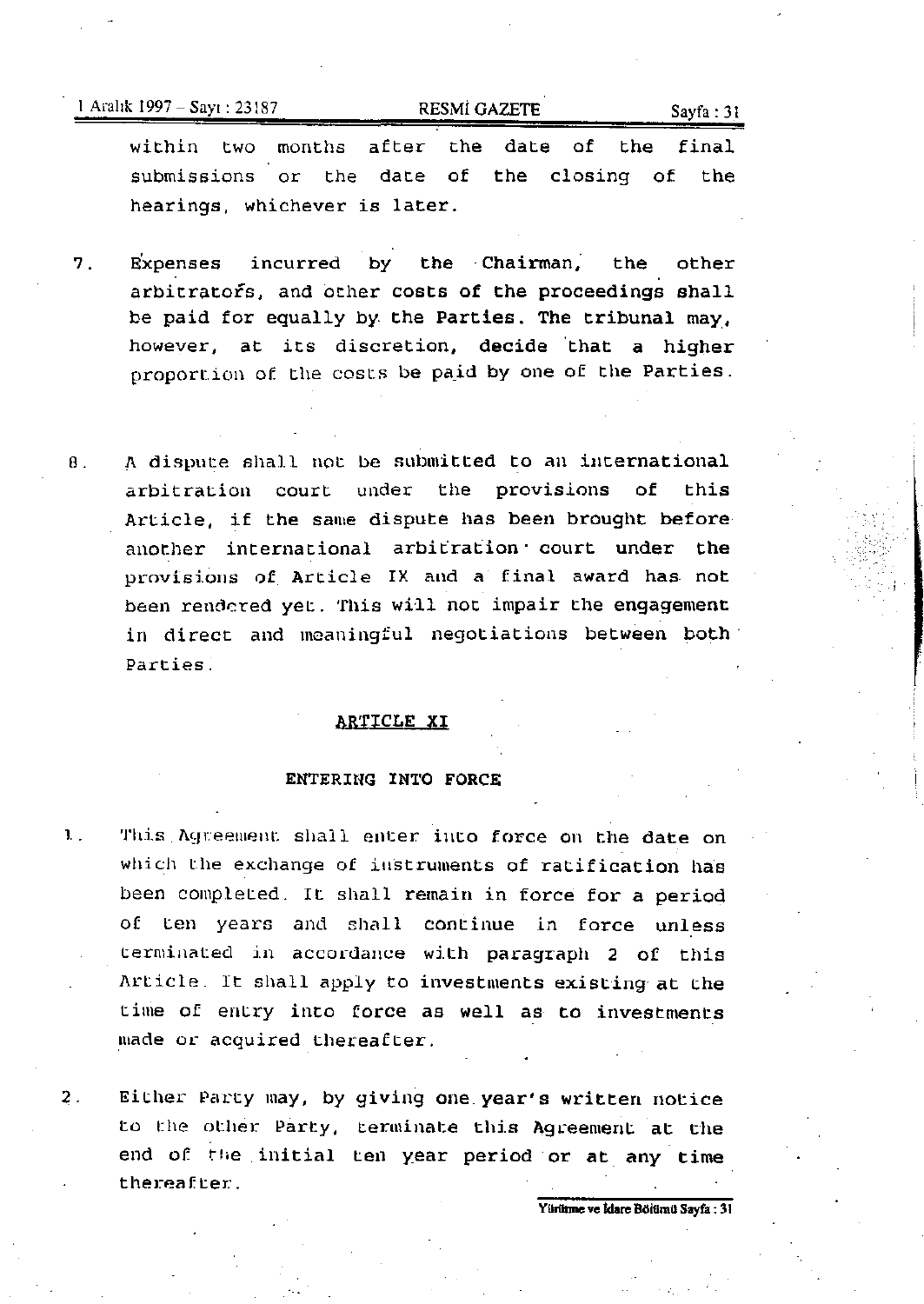$1$  Aralık 1997 - Sayı : 23187 **RESMI GAZETE** Sayfa : 31

within two months after the date of the final submissions or the date of the closing of the hearings, whichever is later.

- 7. E'xpenses incurred by the Chairman; the other arbitrators, and other costs of the proceedings shall be paid for equally by the Parties. The tribunal may, however, at its discretion, decide 'that a higher proportion of the costs be paid by one of the Parties.
- 8. A dispute shall not be submitted to an international arbitration court under the provisions of this Article, if the same dispute has been brought before another international arbitration' court under the provisions of Article IX and a final award has not been rendered yet. This will not impair the engagement in direct and meaningful negotiations between both' Parties.

# ARTICLE XI

## ENTERING INTO FORCE

- 1. This Agreement shall enter into force on the date on which the exchange of instruments of ratification has been completed. It shall remain in force for a period of ten years and shall continue in force unless terminated in accordance with paragraph 2 of this Article. It shall apply to investments existing at the time of entry into force as well as· to investments made or acquired thereafter.
- 2. Either Party may, by giving one year's written notice to the other Party, terminate this Agreement at the end of the initial ten year period or at any time thereafter:.

Yürünme ve İdare Bölümü Sayfa : 31